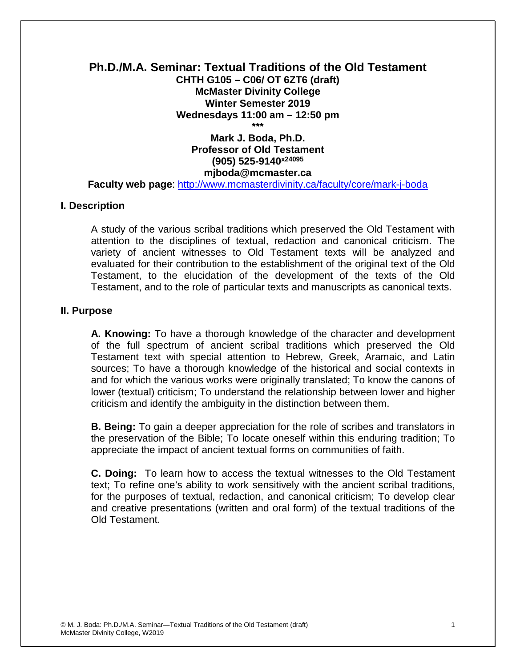#### **Ph.D./M.A. Seminar: Textual Traditions of the Old Testament CHTH G105 – C06/ OT 6ZT6 (draft) McMaster Divinity College Winter Semester 2019 Wednesdays 11:00 am – 12:50 pm \*\*\***

# **Mark J. Boda, Ph.D. Professor of Old Testament (905) 525-9140x24095 mjboda@mcmaster.ca**

**Faculty web page**:<http://www.mcmasterdivinity.ca/faculty/core/mark-j-boda>

#### **I. Description**

A study of the various scribal traditions which preserved the Old Testament with attention to the disciplines of textual, redaction and canonical criticism. The variety of ancient witnesses to Old Testament texts will be analyzed and evaluated for their contribution to the establishment of the original text of the Old Testament, to the elucidation of the development of the texts of the Old Testament, and to the role of particular texts and manuscripts as canonical texts.

## **II. Purpose**

**A. Knowing:** To have a thorough knowledge of the character and development of the full spectrum of ancient scribal traditions which preserved the Old Testament text with special attention to Hebrew, Greek, Aramaic, and Latin sources; To have a thorough knowledge of the historical and social contexts in and for which the various works were originally translated; To know the canons of lower (textual) criticism; To understand the relationship between lower and higher criticism and identify the ambiguity in the distinction between them.

**B. Being:** To gain a deeper appreciation for the role of scribes and translators in the preservation of the Bible; To locate oneself within this enduring tradition; To appreciate the impact of ancient textual forms on communities of faith.

**C. Doing:** To learn how to access the textual witnesses to the Old Testament text; To refine one's ability to work sensitively with the ancient scribal traditions, for the purposes of textual, redaction, and canonical criticism; To develop clear and creative presentations (written and oral form) of the textual traditions of the Old Testament.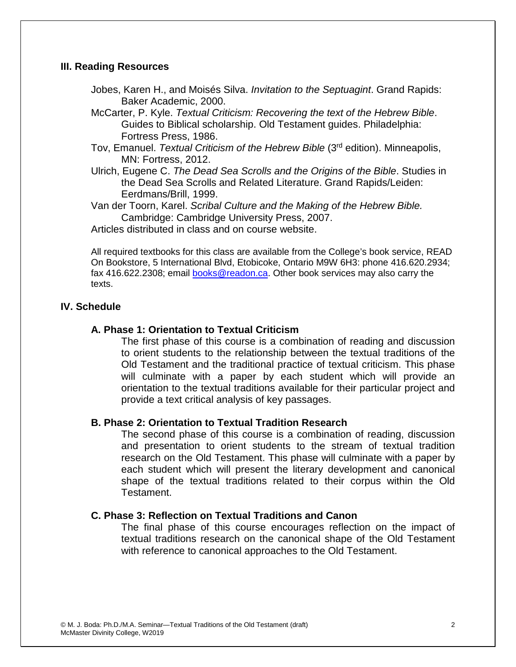## **III. Reading Resources**

- Jobes, Karen H., and Moisés Silva. *Invitation to the Septuagint*. Grand Rapids: Baker Academic, 2000.
- McCarter, P. Kyle. *Textual Criticism: Recovering the text of the Hebrew Bible*. Guides to Biblical scholarship. Old Testament guides. Philadelphia: Fortress Press, 1986.
- Tov, Emanuel. *Textual Criticism of the Hebrew Bible* (3rd edition). Minneapolis, MN: Fortress, 2012.
- Ulrich, Eugene C. *The Dead Sea Scrolls and the Origins of the Bible*. Studies in the Dead Sea Scrolls and Related Literature. Grand Rapids/Leiden: Eerdmans/Brill, 1999.

Van der Toorn, Karel. *Scribal Culture and the Making of the Hebrew Bible.*  Cambridge: Cambridge University Press, 2007.

Articles distributed in class and on course website.

All required textbooks for this class are available from the College's book service, READ On Bookstore, 5 International Blvd, Etobicoke, Ontario M9W 6H3: phone 416.620.2934; fax 416.622.2308; email **books@readon.ca**. Other book services may also carry the texts.

# **IV. Schedule**

## **A. Phase 1: Orientation to Textual Criticism**

The first phase of this course is a combination of reading and discussion to orient students to the relationship between the textual traditions of the Old Testament and the traditional practice of textual criticism. This phase will culminate with a paper by each student which will provide an orientation to the textual traditions available for their particular project and provide a text critical analysis of key passages.

## **B. Phase 2: Orientation to Textual Tradition Research**

The second phase of this course is a combination of reading, discussion and presentation to orient students to the stream of textual tradition research on the Old Testament. This phase will culminate with a paper by each student which will present the literary development and canonical shape of the textual traditions related to their corpus within the Old Testament.

#### **C. Phase 3: Reflection on Textual Traditions and Canon**

The final phase of this course encourages reflection on the impact of textual traditions research on the canonical shape of the Old Testament with reference to canonical approaches to the Old Testament.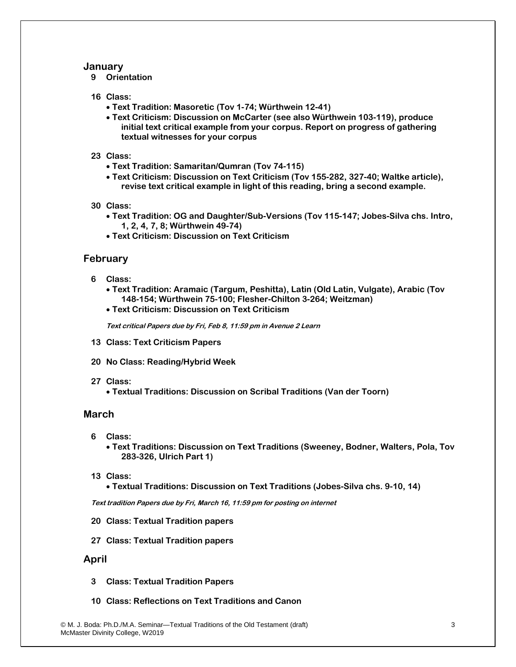#### **January**

**9 Orientation**

#### **16 Class:**

- **Text Tradition: Masoretic (Tov 1-74; Würthwein 12-41)**
- **Text Criticism: Discussion on McCarter (see also Würthwein 103-119), produce initial text critical example from your corpus. Report on progress of gathering textual witnesses for your corpus**
- **23 Class:** 
	- **Text Tradition: Samaritan/Qumran (Tov 74-115)**
	- **Text Criticism: Discussion on Text Criticism (Tov 155-282, 327-40; Waltke article), revise text critical example in light of this reading, bring a second example.**
- **30 Class:** 
	- **Text Tradition: OG and Daughter/Sub-Versions (Tov 115-147; Jobes-Silva chs. Intro, 1, 2, 4, 7, 8; Würthwein 49-74)**
	- **Text Criticism: Discussion on Text Criticism**

#### **February**

- **6 Class:** 
	- **Text Tradition: Aramaic (Targum, Peshitta), Latin (Old Latin, Vulgate), Arabic (Tov 148-154; Würthwein 75-100; Flesher-Chilton 3-264; Weitzman)**
	- **Text Criticism: Discussion on Text Criticism**

**Text critical Papers due by Fri, Feb 8, 11:59 pm in Avenue 2 Learn**

- **13 Class: Text Criticism Papers**
- **20 No Class: Reading/Hybrid Week**
- **27 Class:** 
	- **Textual Traditions: Discussion on Scribal Traditions (Van der Toorn)**

#### **March**

- **6 Class:** 
	- **Text Traditions: Discussion on Text Traditions (Sweeney, Bodner, Walters, Pola, Tov 283-326, Ulrich Part 1)**
- **13 Class:** 
	- **Textual Traditions: Discussion on Text Traditions (Jobes-Silva chs. 9-10, 14)**

**Text tradition Papers due by Fri, March 16, 11:59 pm for posting on internet**

- **20 Class: Textual Tradition papers**
- **27 Class: Textual Tradition papers**

#### **April**

- **3 Class: Textual Tradition Papers**
- **10 Class: Reflections on Text Traditions and Canon**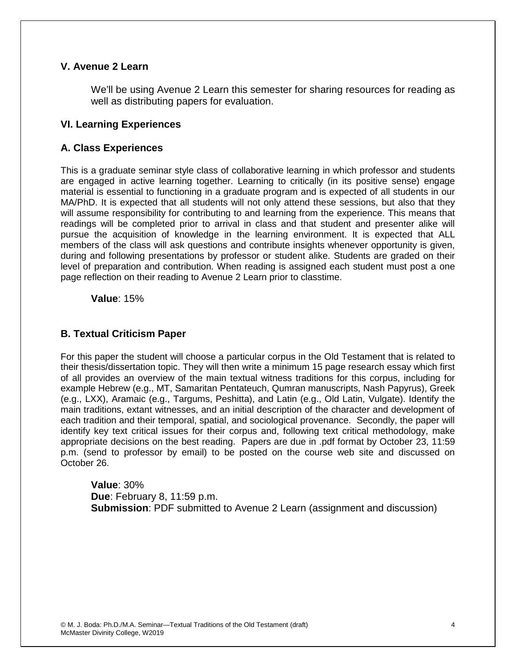# **V. Avenue 2 Learn**

We'll be using Avenue 2 Learn this semester for sharing resources for reading as well as distributing papers for evaluation.

## **VI. Learning Experiences**

## **A. Class Experiences**

This is a graduate seminar style class of collaborative learning in which professor and students are engaged in active learning together. Learning to critically (in its positive sense) engage material is essential to functioning in a graduate program and is expected of all students in our MA/PhD. It is expected that all students will not only attend these sessions, but also that they will assume responsibility for contributing to and learning from the experience. This means that readings will be completed prior to arrival in class and that student and presenter alike will pursue the acquisition of knowledge in the learning environment. It is expected that ALL members of the class will ask questions and contribute insights whenever opportunity is given, during and following presentations by professor or student alike. Students are graded on their level of preparation and contribution. When reading is assigned each student must post a one page reflection on their reading to Avenue 2 Learn prior to classtime.

**Value**: 15%

## **B. Textual Criticism Paper**

For this paper the student will choose a particular corpus in the Old Testament that is related to their thesis/dissertation topic. They will then write a minimum 15 page research essay which first of all provides an overview of the main textual witness traditions for this corpus, including for example Hebrew (e.g., MT, Samaritan Pentateuch, Qumran manuscripts, Nash Papyrus), Greek (e.g., LXX), Aramaic (e.g., Targums, Peshitta), and Latin (e.g., Old Latin, Vulgate). Identify the main traditions, extant witnesses, and an initial description of the character and development of each tradition and their temporal, spatial, and sociological provenance. Secondly, the paper will identify key text critical issues for their corpus and, following text critical methodology, make appropriate decisions on the best reading. Papers are due in .pdf format by October 23, 11:59 p.m. (send to professor by email) to be posted on the course web site and discussed on October 26.

**Value**: 30% **Due**: February 8, 11:59 p.m. **Submission**: PDF submitted to Avenue 2 Learn (assignment and discussion)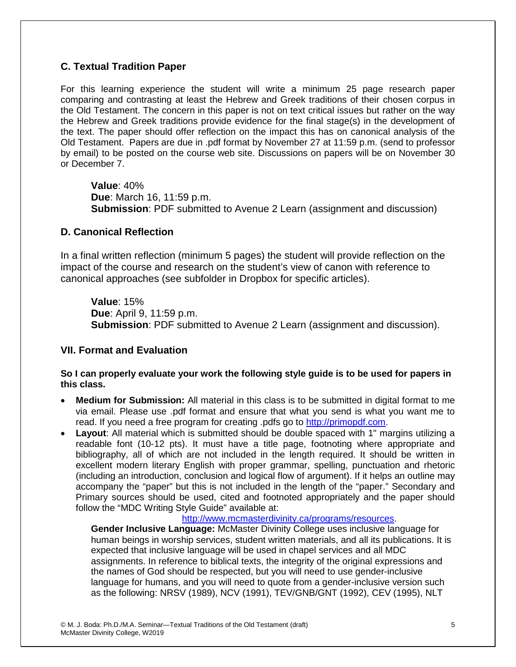# **C. Textual Tradition Paper**

For this learning experience the student will write a minimum 25 page research paper comparing and contrasting at least the Hebrew and Greek traditions of their chosen corpus in the Old Testament. The concern in this paper is not on text critical issues but rather on the way the Hebrew and Greek traditions provide evidence for the final stage(s) in the development of the text. The paper should offer reflection on the impact this has on canonical analysis of the Old Testament. Papers are due in .pdf format by November 27 at 11:59 p.m. (send to professor by email) to be posted on the course web site. Discussions on papers will be on November 30 or December 7.

**Value**: 40% **Due**: March 16, 11:59 p.m. **Submission**: PDF submitted to Avenue 2 Learn (assignment and discussion)

# **D. Canonical Reflection**

In a final written reflection (minimum 5 pages) the student will provide reflection on the impact of the course and research on the student's view of canon with reference to canonical approaches (see subfolder in Dropbox for specific articles).

**Value**: 15% **Due**: April 9, 11:59 p.m. **Submission**: PDF submitted to Avenue 2 Learn (assignment and discussion).

# **VII. Format and Evaluation**

## **So I can properly evaluate your work the following style guide is to be used for papers in this class.**

- **Medium for Submission:** All material in this class is to be submitted in digital format to me via email. Please use .pdf format and ensure that what you send is what you want me to read. If you need a free program for creating .pdfs go to [http://primopdf.com.](http://primopdf.com/)
- **Layout**: All material which is submitted should be double spaced with 1" margins utilizing a readable font (10-12 pts). It must have a title page, footnoting where appropriate and bibliography, all of which are not included in the length required. It should be written in excellent modern literary English with proper grammar, spelling, punctuation and rhetoric (including an introduction, conclusion and logical flow of argument). If it helps an outline may accompany the "paper" but this is not included in the length of the "paper." Secondary and Primary sources should be used, cited and footnoted appropriately and the paper should follow the "MDC Writing Style Guide" available at:

## [http://www.mcmasterdivinity.ca/programs/resources.](http://www.mcmasterdivinity.ca/programs/resources)

**Gender Inclusive Language:** McMaster Divinity College uses inclusive language for human beings in worship services, student written materials, and all its publications. It is expected that inclusive language will be used in chapel services and all MDC assignments. In reference to biblical texts, the integrity of the original expressions and the names of God should be respected, but you will need to use gender-inclusive language for humans, and you will need to quote from a gender-inclusive version such as the following: NRSV (1989), NCV (1991), TEV/GNB/GNT (1992), CEV (1995), NLT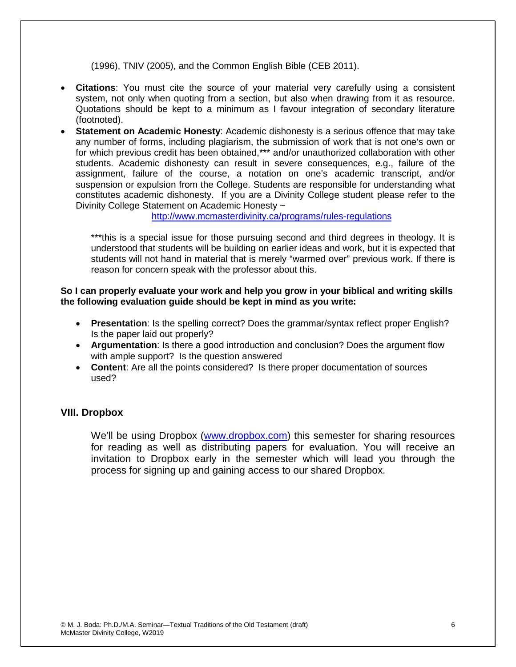(1996), TNIV (2005), and the Common English Bible (CEB 2011).

- **Citations**: You must cite the source of your material very carefully using a consistent system, not only when quoting from a section, but also when drawing from it as resource. Quotations should be kept to a minimum as I favour integration of secondary literature (footnoted).
- **Statement on Academic Honesty**: Academic dishonesty is a serious offence that may take any number of forms, including plagiarism, the submission of work that is not one's own or for which previous credit has been obtained,\*\*\* and/or unauthorized collaboration with other students. Academic dishonesty can result in severe consequences, e.g., failure of the assignment, failure of the course, a notation on one's academic transcript, and/or suspension or expulsion from the College. Students are responsible for understanding what constitutes academic dishonesty. If you are a Divinity College student please refer to the Divinity College Statement on Academic Honesty ~

<http://www.mcmasterdivinity.ca/programs/rules-regulations>

\*\*\*this is a special issue for those pursuing second and third degrees in theology. It is understood that students will be building on earlier ideas and work, but it is expected that students will not hand in material that is merely "warmed over" previous work. If there is reason for concern speak with the professor about this.

#### **So I can properly evaluate your work and help you grow in your biblical and writing skills the following evaluation guide should be kept in mind as you write:**

- **Presentation**: Is the spelling correct? Does the grammar/syntax reflect proper English? Is the paper laid out properly?
- **Argumentation**: Is there a good introduction and conclusion? Does the argument flow with ample support? Is the question answered
- **Content**: Are all the points considered? Is there proper documentation of sources used?

## **VIII. Dropbox**

We'll be using Dropbox [\(www.dropbox.com\)](http://www.dropbox.com/) this semester for sharing resources for reading as well as distributing papers for evaluation. You will receive an invitation to Dropbox early in the semester which will lead you through the process for signing up and gaining access to our shared Dropbox.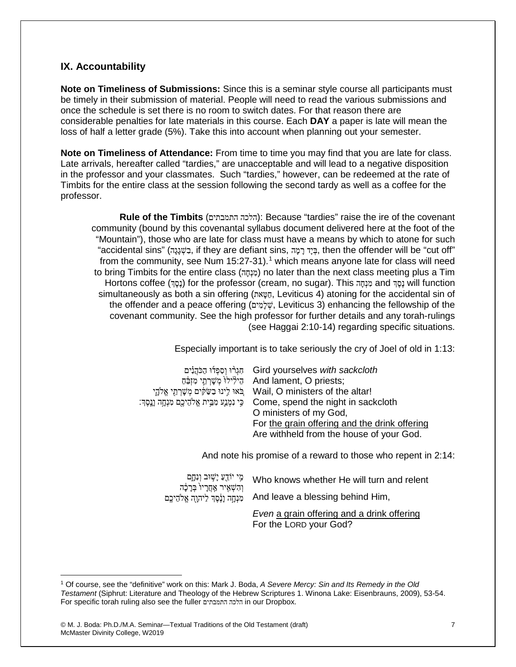## **IX. Accountability**

**Note on Timeliness of Submissions:** Since this is a seminar style course all participants must be timely in their submission of material. People will need to read the various submissions and once the schedule is set there is no room to switch dates. For that reason there are considerable penalties for late materials in this course. Each **DAY** a paper is late will mean the loss of half a letter grade (5%). Take this into account when planning out your semester.

**Note on Timeliness of Attendance:** From time to time you may find that you are late for class. Late arrivals, hereafter called "tardies," are unacceptable and will lead to a negative disposition in the professor and your classmates. Such "tardies," however, can be redeemed at the rate of Timbits for the entire class at the session following the second tardy as well as a coffee for the professor.

**Rule of the Timbits** (התמבתים הלכה(: Because "tardies" raise the ire of the covenant community (bound by this covenantal syllabus document delivered here at the foot of the "Mountain"), those who are late for class must have a means by which to atone for such "accidental sins" (בִשְׁגָנָה, if they are defiant sins, בְּיָד רָמָה, then the offender will be "cut off" from the community, see Num  $15:27-31$  $15:27-31$ .<sup>1</sup> which means anyone late for class will need to bring Timbits for the entire class (מֵנְחָה) no later than the next class meeting plus a Tim Hortons coffee (נָסֶד) for the professor (cream, no sugar). This הַנָּחֶד and עֲסֶד will function simultaneously as both a sin offering (אתטאה, Leviticus 4) atoning for the accidental sin of the offender and a peace offering (שיֹמֵים, Leviticus 3) enhancing the fellowship of the covenant community. See the high professor for further details and any torah-rulings (see Haggai 2:10-14) regarding specific situations.

Especially important is to take seriously the cry of Joel of old in 1:13:

| הַגְרֹוּ וְסְפְדוּ הַכֹּהֵנִים Gird yourselves with sackcloth                         |
|---------------------------------------------------------------------------------------|
| הֵילְילוֹ מִשָּׁרְחֵי מִזְבֵּה And lament, O priests;                                 |
| עֲלֹהֵי Wail, O ministers of the altar!                                               |
| ּכֵּי נִמְנֵע מִבֵּית אֱלֹהֵיכֶם מִנְחֶה נְנֶסֶךְ: Come, spend the night in sackcloth |
| O ministers of my God,                                                                |
| For the grain offering and the drink offering                                         |
| Are withheld from the house of your God.                                              |

And note his promise of a reward to those who repent in 2:14:

מִי יוֹדֵעַ יָשׁוּב וְנִחֱם וְהָשָׁאֵיר אַחֲרָיו<sup>ּ</sup> בְּרָכָה מִנְחָה וָנֶסֶךְ לַיהָוֶה אֱלֹהֵיכֶם And leave a blessing behind Him, Who knows whether He will turn and relent

*Even* a grain offering and a drink offering For the LORD your God?

 $\overline{a}$ 

<span id="page-6-0"></span><sup>1</sup> Of course, see the "definitive" work on this: Mark J. Boda, *A Severe Mercy: Sin and Its Remedy in the Old Testament* (Siphrut: Literature and Theology of the Hebrew Scriptures 1. Winona Lake: Eisenbrauns, 2009), 53-54. For specific torah ruling also see the fuller התמבתים הלכה in our Dropbox.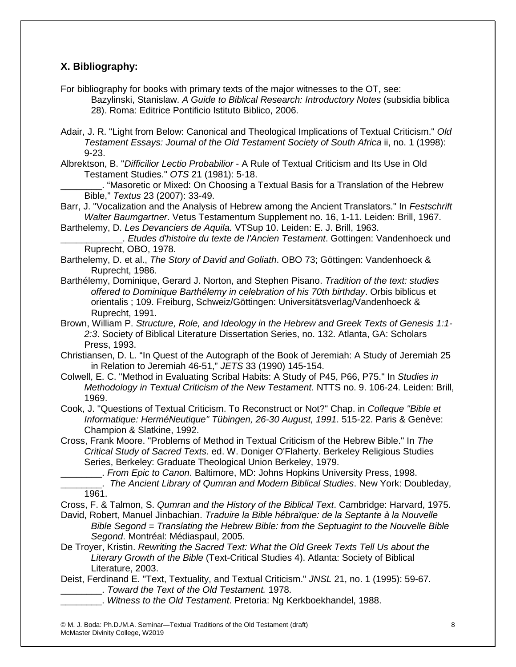# **X. Bibliography:**

For bibliography for books with primary texts of the major witnesses to the OT, see: Bazylinski, Stanislaw. *A Guide to Biblical Research: Introductory Notes* (subsidia biblica 28). Roma: Editrice Pontificio Istituto Biblico, 2006.

- Adair, J. R. "Light from Below: Canonical and Theological Implications of Textual Criticism." *Old Testament Essays: Journal of the Old Testament Society of South Africa* ii, no. 1 (1998): 9-23.
- Albrektson, B. "*Difficilior Lectio Probabilior* A Rule of Textual Criticism and Its Use in Old Testament Studies." *OTS* 21 (1981): 5-18.

\_\_\_\_\_\_\_\_. "Masoretic or Mixed: On Choosing a Textual Basis for a Translation of the Hebrew Bible," *Textus* 23 (2007): 33-49.

- Barr, J. "Vocalization and the Analysis of Hebrew among the Ancient Translators." In *Festschrift Walter Baumgartner*. Vetus Testamentum Supplement no. 16, 1-11. Leiden: Brill, 1967.
- Barthelemy, D. *Les Devanciers de Aquila.* VTSup 10. Leiden: E. J. Brill, 1963.

\_\_\_\_\_\_\_\_\_\_\_\_. *Etudes d'histoire du texte de l'Ancien Testament*. Gottingen: Vandenhoeck und Ruprecht, OBO, 1978.

- Barthelemy, D. et al., *The Story of David and Goliath*. OBO 73; Göttingen: Vandenhoeck & Ruprecht, 1986.
- Barthélemy, Dominique, Gerard J. Norton, and Stephen Pisano. *Tradition of the text: studies offered to Dominique Barthélemy in celebration of his 70th birthday*. Orbis biblicus et orientalis ; 109. Freiburg, Schweiz/Göttingen: Universitätsverlag/Vandenhoeck & Ruprecht, 1991.
- Brown, William P. *Structure, Role, and Ideology in the Hebrew and Greek Texts of Genesis 1:1- 2:3*. Society of Biblical Literature Dissertation Series, no. 132. Atlanta, GA: Scholars Press, 1993.
- Christiansen, D. L. "In Quest of the Autograph of the Book of Jeremiah: A Study of Jeremiah 25 in Relation to Jeremiah 46-51," *JETS* 33 (1990) 145-154.
- Colwell, E. C. "Method in Evaluating Scribal Habits: A Study of P45, P66, P75." In *Studies in Methodology in Textual Criticism of the New Testament*. NTTS no. 9. 106-24. Leiden: Brill, 1969.
- Cook, J. "Questions of Textual Criticism. To Reconstruct or Not?" Chap. in *Colleque "Bible et Informatique: HerméNeutique" Tübingen, 26-30 August, 1991*. 515-22. Paris & Genève: Champion & Slatkine, 1992.
- Cross, Frank Moore. "Problems of Method in Textual Criticism of the Hebrew Bible." In *The Critical Study of Sacred Texts*. ed. W. Doniger O'Flaherty. Berkeley Religious Studies Series, Berkeley: Graduate Theological Union Berkeley, 1979.

\_\_\_\_\_\_\_\_. *From Epic to Canon*. Baltimore, MD: Johns Hopkins University Press, 1998.

- \_\_\_\_\_\_\_\_. *The Ancient Library of Qumran and Modern Biblical Studies*. New York: Doubleday, 1961.
- Cross, F. & Talmon, S. *Qumran and the History of the Biblical Text*. Cambridge: Harvard, 1975.
- David, Robert, Manuel Jinbachian. *Traduire la Bible hébraïque: de la Septante à la Nouvelle Bible Segond = Translating the Hebrew Bible: from the Septuagint to the Nouvelle Bible Segond*. Montréal: Médiaspaul, 2005.
- De Troyer, Kristin. *Rewriting the Sacred Text: What the Old Greek Texts Tell Us about the Literary Growth of the Bible* (Text-Critical Studies 4). Atlanta: Society of Biblical Literature, 2003.
- Deist, Ferdinand E. "Text, Textuality, and Textual Criticism." *JNSL* 21, no. 1 (1995): 59-67. \_\_\_\_\_\_\_\_. *Toward the Text of the Old Testament.* 1978.
	- \_\_\_\_\_\_\_\_. *Witness to the Old Testament*. Pretoria: Ng Kerkboekhandel, 1988.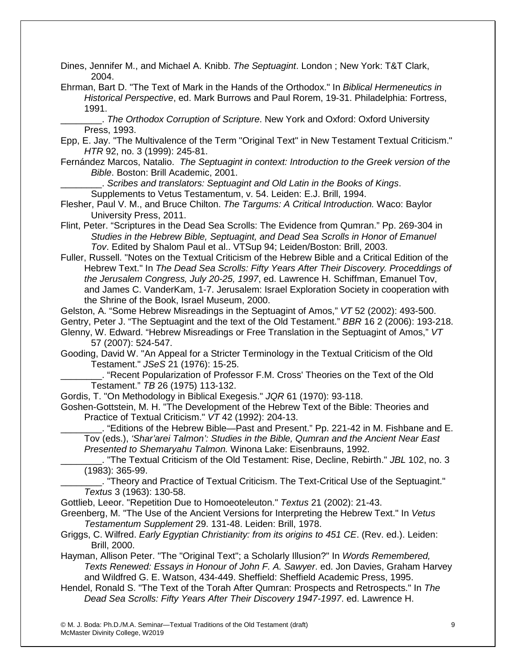Dines, Jennifer M., and Michael A. Knibb. *The Septuagint*. London ; New York: T&T Clark, 2004.

Ehrman, Bart D. "The Text of Mark in the Hands of the Orthodox." In *Biblical Hermeneutics in Historical Perspective*, ed. Mark Burrows and Paul Rorem, 19-31. Philadelphia: Fortress, 1991.

\_\_\_\_\_\_\_\_. *The Orthodox Corruption of Scripture*. New York and Oxford: Oxford University Press, 1993.

Epp, E. Jay. "The Multivalence of the Term "Original Text" in New Testament Textual Criticism." *HTR* 92, no. 3 (1999): 245-81.

Fernández Marcos, Natalio. *The Septuagint in context: Introduction to the Greek version of the Bible*. Boston: Brill Academic, 2001.

\_\_\_\_\_\_\_\_. *Scribes and translators: Septuagint and Old Latin in the Books of Kings*.

Supplements to Vetus Testamentum, v. 54. Leiden: E.J. Brill, 1994.

- Flesher, Paul V. M., and Bruce Chilton. *The Targums: A Critical Introduction.* Waco: Baylor University Press, 2011.
- Flint, Peter. "Scriptures in the Dead Sea Scrolls: The Evidence from Qumran." Pp. 269-304 in *Studies in the Hebrew Bible, Septuagint, and Dead Sea Scrolls in Honor of Emanuel Tov*. Edited by Shalom Paul et al.. VTSup 94; Leiden/Boston: Brill, 2003.

Fuller, Russell. "Notes on the Textual Criticism of the Hebrew Bible and a Critical Edition of the Hebrew Text." In *The Dead Sea Scrolls: Fifty Years After Their Discovery. Proceddings of the Jerusalem Congress, July 20-25, 1997*, ed. Lawrence H. Schiffman, Emanuel Tov, and James C. VanderKam, 1-7. Jerusalem: Israel Exploration Society in cooperation with the Shrine of the Book, Israel Museum, 2000.

Gelston, A. "Some Hebrew Misreadings in the Septuagint of Amos," *VT* 52 (2002): 493-500.

Gentry, Peter J. "The Septuagint and the text of the Old Testament." *BBR* 16 2 (2006): 193-218.

Glenny, W. Edward. "Hebrew Misreadings or Free Translation in the Septuagint of Amos," *VT*  57 (2007): 524-547.

Gooding, David W. "An Appeal for a Stricter Terminology in the Textual Criticism of the Old Testament." *JSeS* 21 (1976): 15-25.

\_\_\_\_\_\_\_\_. "Recent Popularization of Professor F.M. Cross' Theories on the Text of the Old Testament." *TB* 26 (1975) 113-132.

Gordis, T. "On Methodology in Biblical Exegesis." *JQR* 61 (1970): 93-118.

Goshen-Gottstein, M. H. "The Development of the Hebrew Text of the Bible: Theories and Practice of Textual Criticism." *VT* 42 (1992): 204-13.

\_\_\_\_\_\_\_\_. "Editions of the Hebrew Bible—Past and Present." Pp. 221-42 in M. Fishbane and E. Tov (eds.), *'Shar'arei Talmon': Studies in the Bible, Qumran and the Ancient Near East Presented to Shemaryahu Talmon.* Winona Lake: Eisenbrauns, 1992.

\_\_\_\_\_\_\_\_. "The Textual Criticism of the Old Testament: Rise, Decline, Rebirth." *JBL* 102, no. 3 (1983): 365-99.

\_\_\_\_\_\_\_\_. "Theory and Practice of Textual Criticism. The Text-Critical Use of the Septuagint." *Textus* 3 (1963): 130-58.

Gottlieb, Leeor. "Repetition Due to Homoeoteleuton." *Textus* 21 (2002): 21-43.

Greenberg, M. "The Use of the Ancient Versions for Interpreting the Hebrew Text." In *Vetus Testamentum Supplement* 29. 131-48. Leiden: Brill, 1978.

Griggs, C. Wilfred. *Early Egyptian Christianity: from its origins to 451 CE*. (Rev. ed.). Leiden: Brill, 2000.

Hayman, Allison Peter. "The "Original Text"; a Scholarly Illusion?" In *Words Remembered, Texts Renewed: Essays in Honour of John F. A. Sawyer*. ed. Jon Davies, Graham Harvey and Wildfred G. E. Watson, 434-449. Sheffield: Sheffield Academic Press, 1995.

Hendel, Ronald S. "The Text of the Torah After Qumran: Prospects and Retrospects." In *The Dead Sea Scrolls: Fifty Years After Their Discovery 1947-1997*. ed. Lawrence H.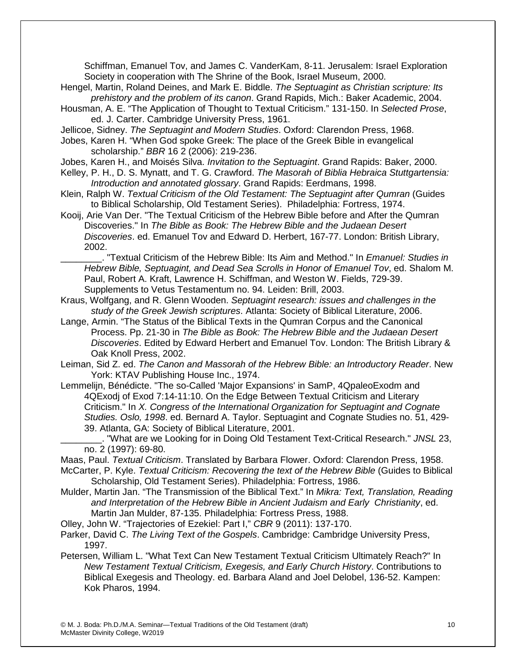Schiffman, Emanuel Tov, and James C. VanderKam, 8-11. Jerusalem: Israel Exploration Society in cooperation with The Shrine of the Book, Israel Museum, 2000.

- Hengel, Martin, Roland Deines, and Mark E. Biddle. *The Septuagint as Christian scripture: Its prehistory and the problem of its canon*. Grand Rapids, Mich.: Baker Academic, 2004.
- Housman, A. E. "The Application of Thought to Textual Criticism." 131-150. In *Selected Prose*, ed. J. Carter. Cambridge University Press, 1961.
- Jellicoe, Sidney. *The Septuagint and Modern Studies*. Oxford: Clarendon Press, 1968.
- Jobes, Karen H. "When God spoke Greek: The place of the Greek Bible in evangelical scholarship." *BBR* 16 2 (2006): 219-236.
- Jobes, Karen H., and Moisés Silva. *Invitation to the Septuagint*. Grand Rapids: Baker, 2000.
- Kelley, P. H., D. S. Mynatt, and T. G. Crawford. *The Masorah of Biblia Hebraica Stuttgartensia: Introduction and annotated glossary*. Grand Rapids: Eerdmans, 1998.
- Klein, Ralph W. *Textual Criticism of the Old Testament: The Septuagint after Qumran* (Guides to Biblical Scholarship, Old Testament Series). Philadelphia: Fortress, 1974.
- Kooij, Arie Van Der. "The Textual Criticism of the Hebrew Bible before and After the Qumran Discoveries." In *The Bible as Book: The Hebrew Bible and the Judaean Desert Discoveries*. ed. Emanuel Tov and Edward D. Herbert, 167-77. London: British Library, 2002.

\_\_\_\_\_\_\_\_. "Textual Criticism of the Hebrew Bible: Its Aim and Method." In *Emanuel: Studies in Hebrew Bible, Septuagint, and Dead Sea Scrolls in Honor of Emanuel Tov*, ed. Shalom M. Paul, Robert A. Kraft, Lawrence H. Schiffman, and Weston W. Fields, 729-39. Supplements to Vetus Testamentum no. 94. Leiden: Brill, 2003.

- Kraus, Wolfgang, and R. Glenn Wooden. *Septuagint research: issues and challenges in the study of the Greek Jewish scriptures*. Atlanta: Society of Biblical Literature, 2006.
- Lange, Armin. "The Status of the Biblical Texts in the Qumran Corpus and the Canonical Process. Pp. 21-30 in *The Bible as Book: The Hebrew Bible and the Judaean Desert Discoveries*. Edited by Edward Herbert and Emanuel Tov. London: The British Library & Oak Knoll Press, 2002.
- Leiman, Sid Z. ed. *The Canon and Massorah of the Hebrew Bible: an Introductory Reader*. New York: KTAV Publishing House Inc., 1974.
- Lemmelijn, Bénédicte. "The so-Called 'Major Expansions' in SamP, 4QpaleoExodm and 4QExodj of Exod 7:14-11:10. On the Edge Between Textual Criticism and Literary Criticism." In *X. Congress of the International Organization for Septuagint and Cognate Studies. Oslo, 1998*. ed. Bernard A. Taylor. Septuagint and Cognate Studies no. 51, 429- 39. Atlanta, GA: Society of Biblical Literature, 2001.

\_\_\_\_\_\_\_\_. "What are we Looking for in Doing Old Testament Text-Critical Research." *JNSL* 23, no. 2 (1997): 69-80.

Maas, Paul. *Textual Criticism*. Translated by Barbara Flower. Oxford: Clarendon Press, 1958.

McCarter, P. Kyle. *Textual Criticism: Recovering the text of the Hebrew Bible* (Guides to Biblical Scholarship, Old Testament Series). Philadelphia: Fortress, 1986.

- Mulder, Martin Jan. "The Transmission of the Biblical Text." In *Mikra: Text, Translation, Reading and Interpretation of the Hebrew Bible in Ancient Judaism and Early Christianity*, ed. Martin Jan Mulder, 87-135. Philadelphia: Fortress Press, 1988.
- Olley, John W. "Trajectories of Ezekiel: Part I," *CBR* 9 (2011): 137-170.

Parker, David C. *The Living Text of the Gospels*. Cambridge: Cambridge University Press, 1997.

Petersen, William L. "What Text Can New Testament Textual Criticism Ultimately Reach?" In *New Testament Textual Criticism, Exegesis, and Early Church History*. Contributions to Biblical Exegesis and Theology. ed. Barbara Aland and Joel Delobel, 136-52. Kampen: Kok Pharos, 1994.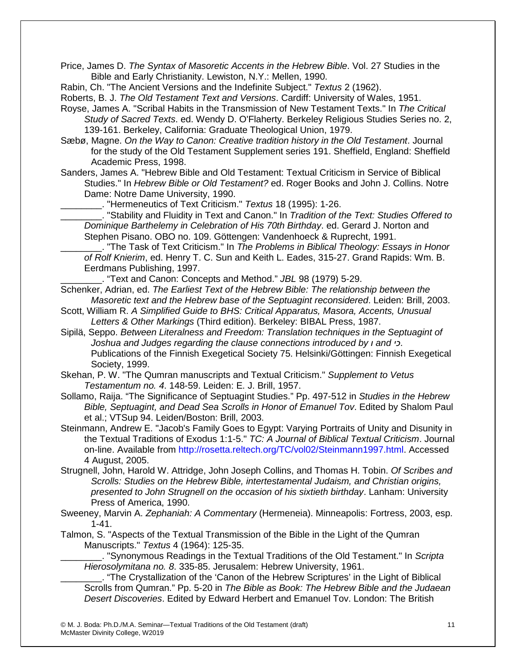Price, James D. *The Syntax of Masoretic Accents in the Hebrew Bible*. Vol. 27 Studies in the Bible and Early Christianity. Lewiston, N.Y.: Mellen, 1990.

Rabin, Ch. "The Ancient Versions and the Indefinite Subject." *Textus* 2 (1962).

Roberts, B. J. *The Old Testament Text and Versions*. Cardiff: University of Wales, 1951.

- Royse, James A. "Scribal Habits in the Transmission of New Testament Texts." In *The Critical Study of Sacred Texts*. ed. Wendy D. O'Flaherty. Berkeley Religious Studies Series no. 2, 139-161. Berkeley, California: Graduate Theological Union, 1979.
- Sæbø, Magne. *On the Way to Canon: Creative tradition history in the Old Testament*. Journal for the study of the Old Testament Supplement series 191. Sheffield, England: Sheffield Academic Press, 1998.
- Sanders, James A. "Hebrew Bible and Old Testament: Textual Criticism in Service of Biblical Studies." In *Hebrew Bible or Old Testament?* ed. Roger Books and John J. Collins. Notre Dame: Notre Dame University, 1990.

\_\_\_\_\_\_\_\_. "Hermeneutics of Text Criticism." *Textus* 18 (1995): 1-26.

\_\_\_\_\_\_\_\_. "Stability and Fluidity in Text and Canon." In *Tradition of the Text: Studies Offered to Dominique Barthelemy in Celebration of His 70th Birthday*. ed. Gerard J. Norton and Stephen Pisano. OBO no. 109. Göttengen: Vandenhoeck & Ruprecht, 1991.

\_\_\_\_\_\_\_\_. "The Task of Text Criticism." In *The Problems in Biblical Theology: Essays in Honor of Rolf Knierim*, ed. Henry T. C. Sun and Keith L. Eades, 315-27. Grand Rapids: Wm. B. Eerdmans Publishing, 1997.

\_\_\_\_\_\_\_\_. "Text and Canon: Concepts and Method." *JBL* 98 (1979) 5-29.

Schenker, Adrian, ed. *The Earliest Text of the Hebrew Bible: The relationship between the Masoretic text and the Hebrew base of the Septuagint reconsidered*. Leiden: Brill, 2003.

- Scott, William R. *A Simplified Guide to BHS: Critical Apparatus, Masora, Accents, Unusual Letters & Other Markings* (Third edition). Berkeley: BIBAL Press, 1987.
- Sipilä, Seppo. *Between Literalness and Freedom: Translation techniques in the Septuagint of Joshua and Judges regarding the clause connections introduced by ו and כי*. Publications of the Finnish Exegetical Society 75. Helsinki/Göttingen: Finnish Exegetical Society, 1999.
- Skehan, P. W. "The Qumran manuscripts and Textual Criticism." *Supplement to Vetus Testamentum no. 4*. 148-59. Leiden: E. J. Brill, 1957.
- Sollamo, Raija. "The Significance of Septuagint Studies." Pp. 497-512 in *Studies in the Hebrew Bible, Septuagint, and Dead Sea Scrolls in Honor of Emanuel Tov*. Edited by Shalom Paul et al.; VTSup 94. Leiden/Boston: Brill, 2003.

Steinmann, Andrew E. "Jacob's Family Goes to Egypt: Varying Portraits of Unity and Disunity in the Textual Traditions of Exodus 1:1-5." *TC: A Journal of Biblical Textual Criticism*. Journal on-line. Available from [http://rosetta.reltech.org/TC/vol02/Steinmann1997.html.](http://rosetta.reltech.org/TC/vol02/Steinmann1997.html) Accessed 4 August, 2005.

Strugnell, John, Harold W. Attridge, John Joseph Collins, and Thomas H. Tobin. *Of Scribes and Scrolls: Studies on the Hebrew Bible, intertestamental Judaism, and Christian origins, presented to John Strugnell on the occasion of his sixtieth birthday*. Lanham: University Press of America, 1990.

- Sweeney, Marvin A. *Zephaniah: A Commentary* (Hermeneia). Minneapolis: Fortress, 2003, esp. 1-41.
- Talmon, S. "Aspects of the Textual Transmission of the Bible in the Light of the Qumran Manuscripts." *Textus* 4 (1964): 125-35.

\_\_\_\_\_\_\_\_. "Synonymous Readings in the Textual Traditions of the Old Testament." In *Scripta Hierosolymitana no. 8*. 335-85. Jerusalem: Hebrew University, 1961.

\_\_\_\_\_\_\_\_. "The Crystallization of the 'Canon of the Hebrew Scriptures' in the Light of Biblical Scrolls from Qumran." Pp. 5-20 in *The Bible as Book: The Hebrew Bible and the Judaean Desert Discoveries*. Edited by Edward Herbert and Emanuel Tov. London: The British